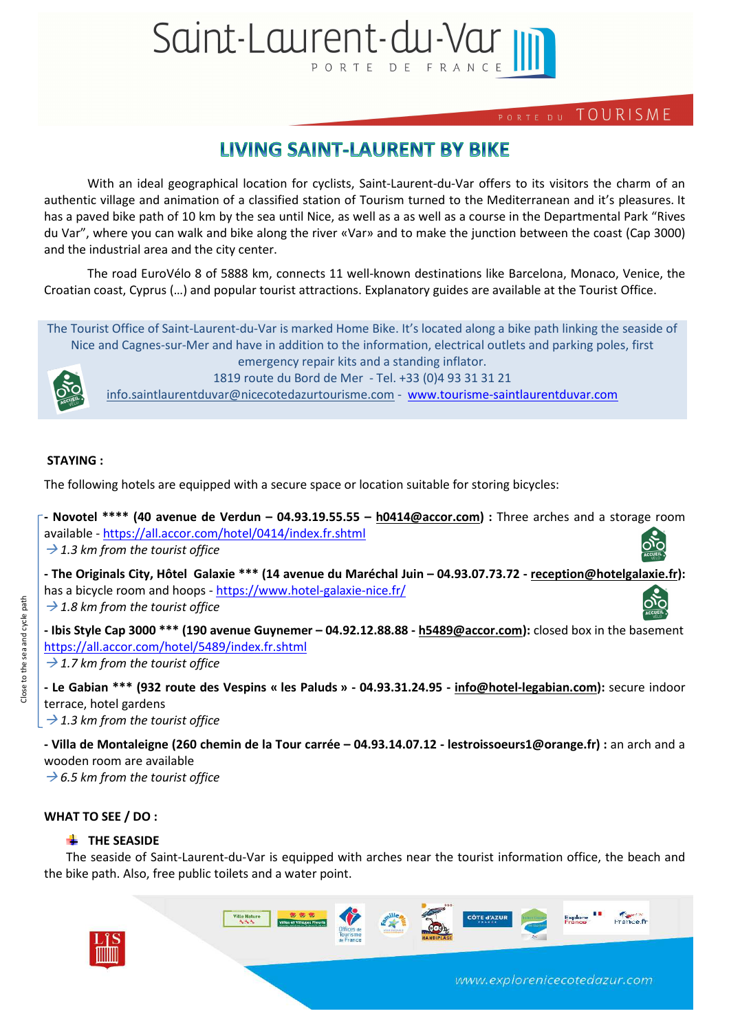# Saint-Laurent-du-Var III PORTE

# PORTE DU TOURISME

# **LIVING SAINT-LAURENT BY BIKE**

With an ideal geographical location for cyclists, Saint-Laurent-du-Var offers to its visitors the charm of an authentic village and animation of a classified station of Tourism turned to the Mediterranean and it's pleasures. It has a paved bike path of 10 km by the sea until Nice, as well as a as well as a course in the Departmental Park "Rives du Var", where you can walk and bike along the river «Var» and to make the junction between the coast (Cap 3000) and the industrial area and the city center.

The road EuroVélo 8 of 5888 km, connects 11 well-known destinations like Barcelona, Monaco, Venice, the Croatian coast, Cyprus (…) and popular tourist attractions. Explanatory guides are available at the Tourist Office.

The Tourist Office of Saint-Laurent-du-Var is marked Home Bike. It's located along a bike path linking the seaside of Nice and Cagnes-sur-Mer and have in addition to the information, electrical outlets and parking poles, first emergency repair kits and a standing inflator.



1819 route du Bord de Mer - Tel. +33 (0)4 93 31 31 21

info.saintlaurentduvar@nicecotedazurtourisme.com - www.tourisme-saintlaurentduvar.com

# **STAYING :**

The following hotels are equipped with a secure space or location suitable for storing bicycles:

| - Novotel **** (40 avenue de Verdun - 04.93.19.55.55 - h0414@accor.com) : Three arches and a storage room |                      |
|-----------------------------------------------------------------------------------------------------------|----------------------|
| available - https://all.accor.com/hotel/0414/index.fr.shtml                                               |                      |
| $\rightarrow$ 1.3 km from the tourist office                                                              | O <sub>ACCUEIL</sub> |

**- The Originals City, Hôtel Galaxie \*\*\* (14 avenue du Maréchal Juin – 04.93.07.73.72 - reception@hotelgalaxie.fr):**  has a bicycle room and hoops - https://www.hotel-galaxie-nice.fr/ → 1.8 km from the tourist office

**- Ibis Style Cap 3000 \*\*\* (190 avenue Guynemer – 04.92.12.88.88 - h5489@accor.com):** closed box in the basement https://all.accor.com/hotel/5489/index.fr.shtml

→ 1.7 km from the tourist office

**- Le Gabian \*\*\* (932 route des Vespins « les Paluds » - 04.93.31.24.95 - info@hotel-legabian.com):** secure indoor terrace, hotel gardens

→ 1.3 km from the tourist office

**- Villa de Montaleigne (260 chemin de la Tour carrée – 04.93.14.07.12 - lestroissoeurs1@orange.fr) :** an arch and a wooden room are available

 *6.5 km from the tourist office* 

# **WHAT TO SEE / DO :**

# **THE SEASIDE**

The seaside of Saint-Laurent-du-Var is equipped with arches near the tourist information office, the beach and the bike path. Also, free public toilets and a water point.



www.explorenicecotedazur.com

France fr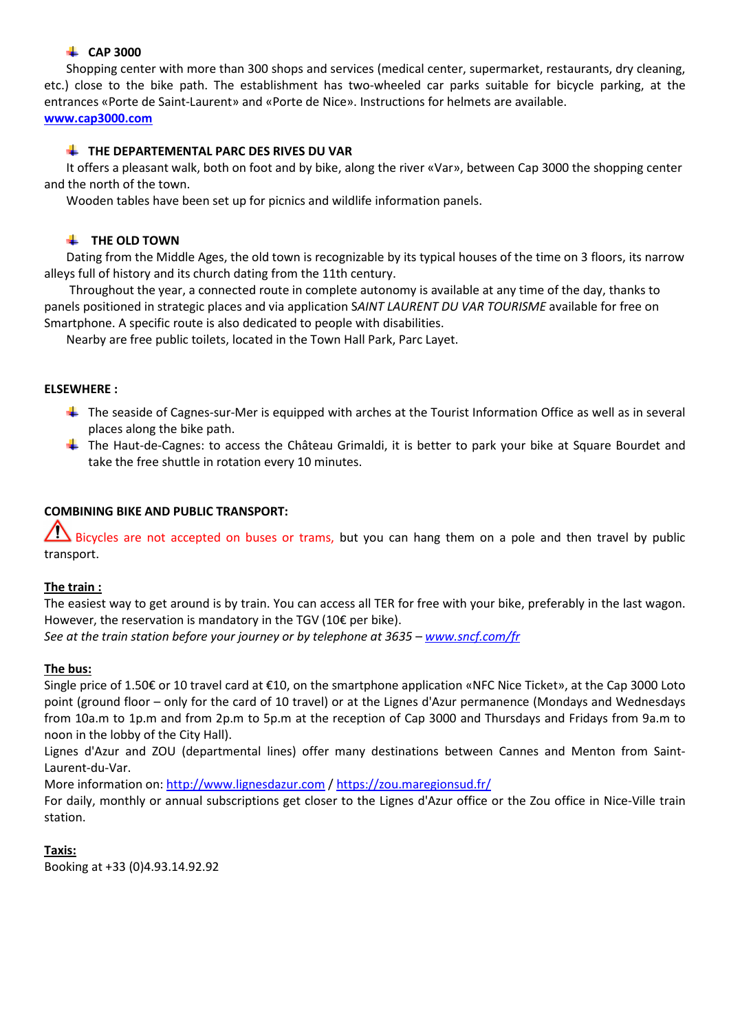# **CAP 3000**

Shopping center with more than 300 shops and services (medical center, supermarket, restaurants, dry cleaning, etc.) close to the bike path. The establishment has two-wheeled car parks suitable for bicycle parking, at the entrances «Porte de Saint-Laurent» and «Porte de Nice». Instructions for helmets are available. **www.cap3000.com** 

# **THE DEPARTEMENTAL PARC DES RIVES DU VAR**

It offers a pleasant walk, both on foot and by bike, along the river «Var», between Cap 3000 the shopping center and the north of the town.

Wooden tables have been set up for picnics and wildlife information panels.

# **THE OLD TOWN**

Dating from the Middle Ages, the old town is recognizable by its typical houses of the time on 3 floors, its narrow alleys full of history and its church dating from the 11th century.

 Throughout the year, a connected route in complete autonomy is available at any time of the day, thanks to panels positioned in strategic places and via application S*AINT LAURENT DU VAR TOURISME* available for free on Smartphone. A specific route is also dedicated to people with disabilities.

Nearby are free public toilets, located in the Town Hall Park, Parc Layet.

### **ELSEWHERE :**

- $\ddot{\phantom{1}}$  The seaside of Cagnes-sur-Mer is equipped with arches at the Tourist Information Office as well as in several places along the bike path.
- The Haut-de-Cagnes: to access the Château Grimaldi, it is better to park your bike at Square Bourdet and take the free shuttle in rotation every 10 minutes.

# **COMBINING BIKE AND PUBLIC TRANSPORT:**

 $\sum$  Bicycles are not accepted on buses or trams, but you can hang them on a pole and then travel by public transport.

# **The train :**

The easiest way to get around is by train. You can access all TER for free with your bike, preferably in the last wagon. However, the reservation is mandatory in the TGV (10€ per bike).

*See at the train station before your journey or by telephone at 3635 – www.sncf.com/fr*

# **The bus:**

Single price of 1.50€ or 10 travel card at €10, on the smartphone application «NFC Nice Ticket», at the Cap 3000 Loto point (ground floor – only for the card of 10 travel) or at the Lignes d'Azur permanence (Mondays and Wednesdays from 10a.m to 1p.m and from 2p.m to 5p.m at the reception of Cap 3000 and Thursdays and Fridays from 9a.m to noon in the lobby of the City Hall).

Lignes d'Azur and ZOU (departmental lines) offer many destinations between Cannes and Menton from Saint-Laurent-du-Var.

More information on: http://www.lignesdazur.com / https://zou.maregionsud.fr/

For daily, monthly or annual subscriptions get closer to the Lignes d'Azur office or the Zou office in Nice-Ville train station.

# **Taxis:**

Booking at +33 (0)4.93.14.92.92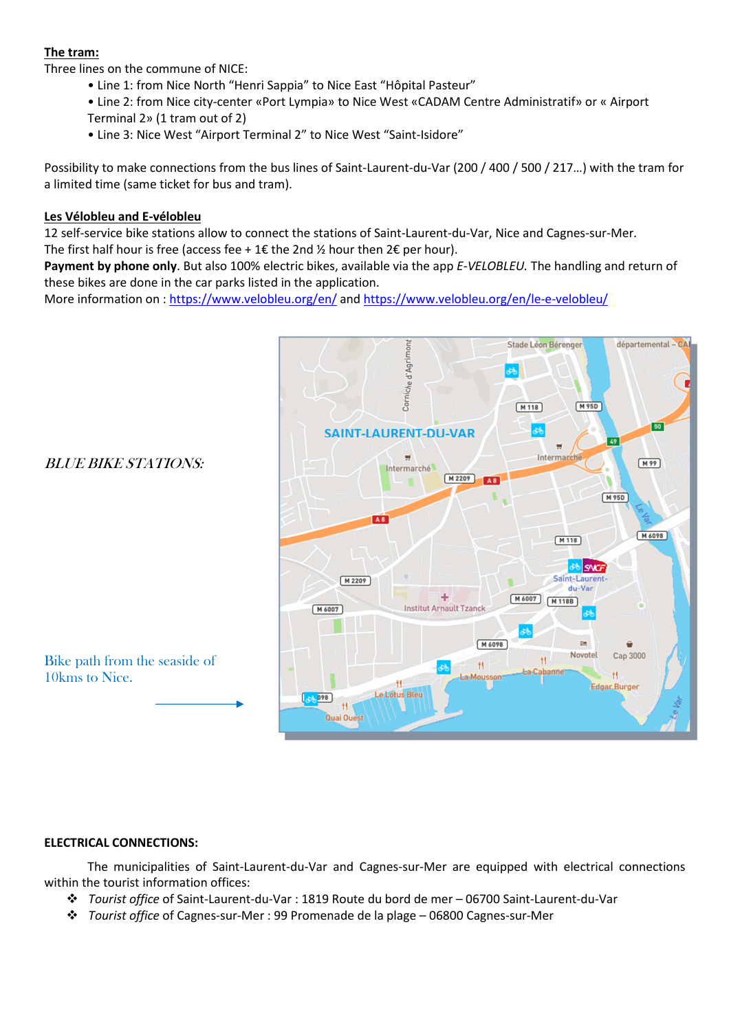# **The tram:**

Three lines on the commune of NICE:

- Line 1: from Nice North "Henri Sappia" to Nice East "Hôpital Pasteur"
- Line 2: from Nice city-center «Port Lympia» to Nice West «CADAM Centre Administratif» or « Airport Terminal 2» (1 tram out of 2)
- Line 3: Nice West "Airport Terminal 2" to Nice West "Saint-Isidore"

Possibility to make connections from the bus lines of Saint-Laurent-du-Var (200 / 400 / 500 / 217…) with the tram for a limited time (same ticket for bus and tram).

# **Les Vélobleu and E-vélobleu**

12 self-service bike stations allow to connect the stations of Saint-Laurent-du-Var, Nice and Cagnes-sur-Mer. The first half hour is free (access fee + 1€ the 2nd  $\frac{1}{2}$  hour then 2€ per hour).

**Payment by phone only**. But also 100% electric bikes, available via the app *E-VELOBLEU.* The handling and return of these bikes are done in the car parks listed in the application.

More information on : https://www.velobleu.org/en/ and https://www.velobleu.org/en/le-e-velobleu/



# **ELECTRICAL CONNECTIONS:**

The municipalities of Saint-Laurent-du-Var and Cagnes-sur-Mer are equipped with electrical connections within the tourist information offices:

- *Tourist office* of Saint-Laurent-du-Var : 1819 Route du bord de mer 06700 Saint-Laurent-du-Var
- *Tourist office* of Cagnes-sur-Mer : 99 Promenade de la plage 06800 Cagnes-sur-Mer